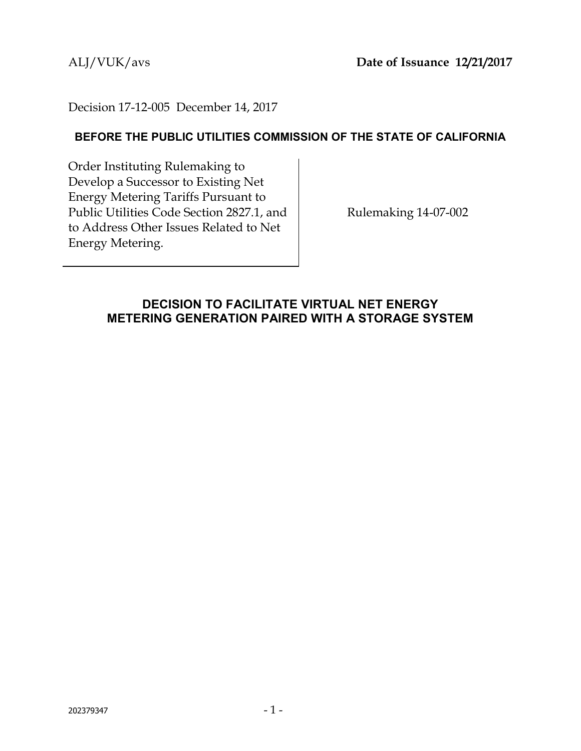## Decision 17-12-005 December 14, 2017

## **BEFORE THE PUBLIC UTILITIES COMMISSION OF THE STATE OF CALIFORNIA**

Order Instituting Rulemaking to Develop a Successor to Existing Net Energy Metering Tariffs Pursuant to Public Utilities Code Section 2827.1, and to Address Other Issues Related to Net Energy Metering.

Rulemaking 14-07-002

## **DECISION TO FACILITATE VIRTUAL NET ENERGY METERING GENERATION PAIRED WITH A STORAGE SYSTEM**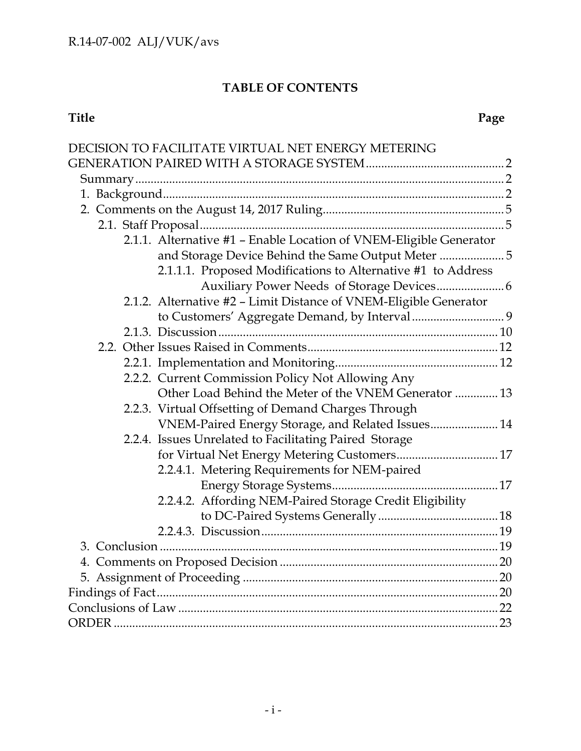# **TABLE OF CONTENTS**

| DECISION TO FACILITATE VIRTUAL NET ENERGY METERING                 |  |
|--------------------------------------------------------------------|--|
|                                                                    |  |
|                                                                    |  |
|                                                                    |  |
|                                                                    |  |
|                                                                    |  |
| 2.1.1. Alternative #1 - Enable Location of VNEM-Eligible Generator |  |
| and Storage Device Behind the Same Output Meter  5                 |  |
| 2.1.1.1. Proposed Modifications to Alternative #1 to Address       |  |
|                                                                    |  |
| 2.1.2. Alternative #2 - Limit Distance of VNEM-Eligible Generator  |  |
|                                                                    |  |
|                                                                    |  |
|                                                                    |  |
|                                                                    |  |
| 2.2.2. Current Commission Policy Not Allowing Any                  |  |
| Other Load Behind the Meter of the VNEM Generator  13              |  |
| 2.2.3. Virtual Offsetting of Demand Charges Through                |  |
| VNEM-Paired Energy Storage, and Related Issues 14                  |  |
| 2.2.4. Issues Unrelated to Facilitating Paired Storage             |  |
| for Virtual Net Energy Metering Customers 17                       |  |
| 2.2.4.1. Metering Requirements for NEM-paired                      |  |
|                                                                    |  |
| 2.2.4.2. Affording NEM-Paired Storage Credit Eligibility           |  |
|                                                                    |  |
|                                                                    |  |
|                                                                    |  |
|                                                                    |  |
|                                                                    |  |
|                                                                    |  |
|                                                                    |  |
|                                                                    |  |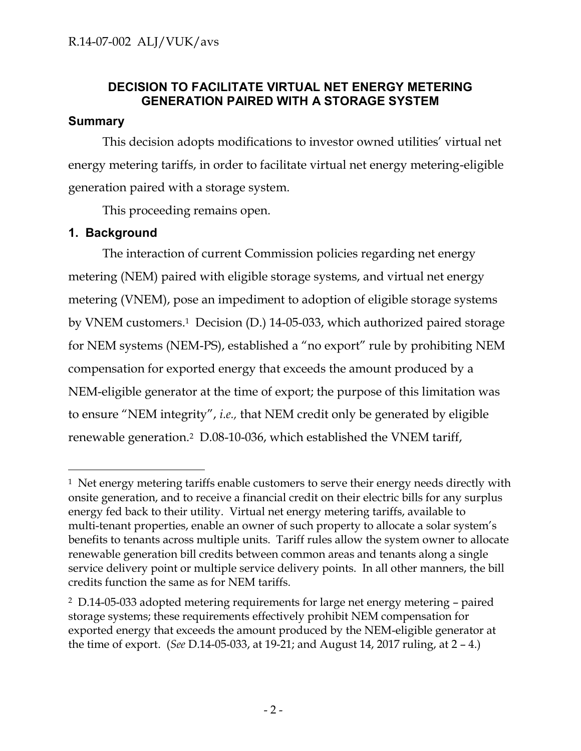## **DECISION TO FACILITATE VIRTUAL NET ENERGY METERING GENERATION PAIRED WITH A STORAGE SYSTEM**

## <span id="page-2-1"></span><span id="page-2-0"></span>**Summary**

This decision adopts modifications to investor owned utilities' virtual net energy metering tariffs, in order to facilitate virtual net energy metering-eligible generation paired with a storage system.

This proceeding remains open.

## <span id="page-2-2"></span>**1. Background**

 $\overline{a}$ 

The interaction of current Commission policies regarding net energy metering (NEM) paired with eligible storage systems, and virtual net energy metering (VNEM), pose an impediment to adoption of eligible storage systems by VNEM customers.<sup>1</sup> Decision (D.) 14-05-033, which authorized paired storage for NEM systems (NEM-PS), established a "no export" rule by prohibiting NEM compensation for exported energy that exceeds the amount produced by a NEM-eligible generator at the time of export; the purpose of this limitation was to ensure "NEM integrity", *i.e.,* that NEM credit only be generated by eligible renewable generation.2 D.08-10-036, which established the VNEM tariff,

 $<sup>1</sup>$  Net energy metering tariffs enable customers to serve their energy needs directly with</sup> onsite generation, and to receive a financial credit on their electric bills for any surplus energy fed back to their utility. Virtual net energy metering tariffs, available to multi-tenant properties, enable an owner of such property to allocate a solar system's benefits to tenants across multiple units. Tariff rules allow the system owner to allocate renewable generation bill credits between common areas and tenants along a single service delivery point or multiple service delivery points. In all other manners, the bill credits function the same as for NEM tariffs.

<sup>2</sup> D.14-05-033 adopted metering requirements for large net energy metering – paired storage systems; these requirements effectively prohibit NEM compensation for exported energy that exceeds the amount produced by the NEM-eligible generator at the time of export. (*See* D.14-05-033, at 19-21; and August 14, 2017 ruling, at 2 – 4.)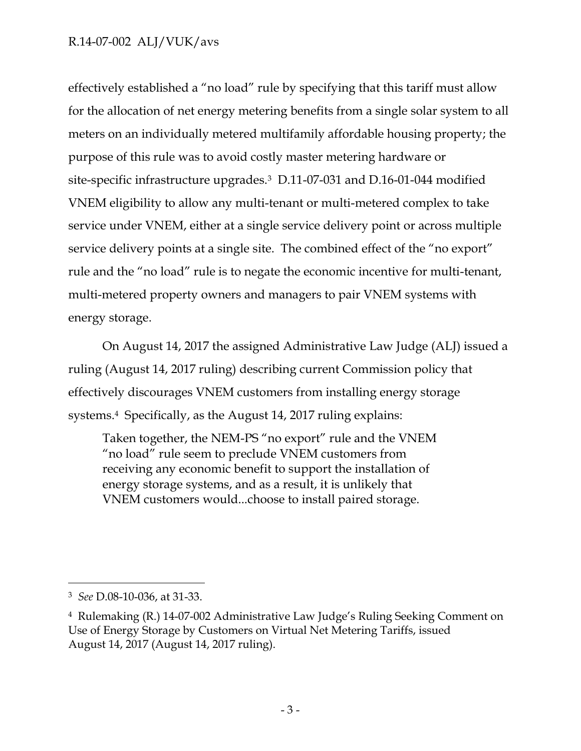effectively established a "no load" rule by specifying that this tariff must allow for the allocation of net energy metering benefits from a single solar system to all meters on an individually metered multifamily affordable housing property; the purpose of this rule was to avoid costly master metering hardware or site-specific infrastructure upgrades.3 D.11-07-031 and D.16-01-044 modified VNEM eligibility to allow any multi-tenant or multi-metered complex to take service under VNEM, either at a single service delivery point or across multiple service delivery points at a single site. The combined effect of the "no export" rule and the "no load" rule is to negate the economic incentive for multi-tenant, multi-metered property owners and managers to pair VNEM systems with energy storage.

On August 14, 2017 the assigned Administrative Law Judge (ALJ) issued a ruling (August 14, 2017 ruling) describing current Commission policy that effectively discourages VNEM customers from installing energy storage systems.4 Specifically, as the August 14, 2017 ruling explains:

Taken together, the NEM-PS "no export" rule and the VNEM "no load" rule seem to preclude VNEM customers from receiving any economic benefit to support the installation of energy storage systems, and as a result, it is unlikely that VNEM customers would...choose to install paired storage.

<sup>3</sup> *See* D.08-10-036, at 31-33.

<sup>4</sup> Rulemaking (R.) 14-07-002 Administrative Law Judge's Ruling Seeking Comment on Use of Energy Storage by Customers on Virtual Net Metering Tariffs, issued August 14, 2017 (August 14, 2017 ruling).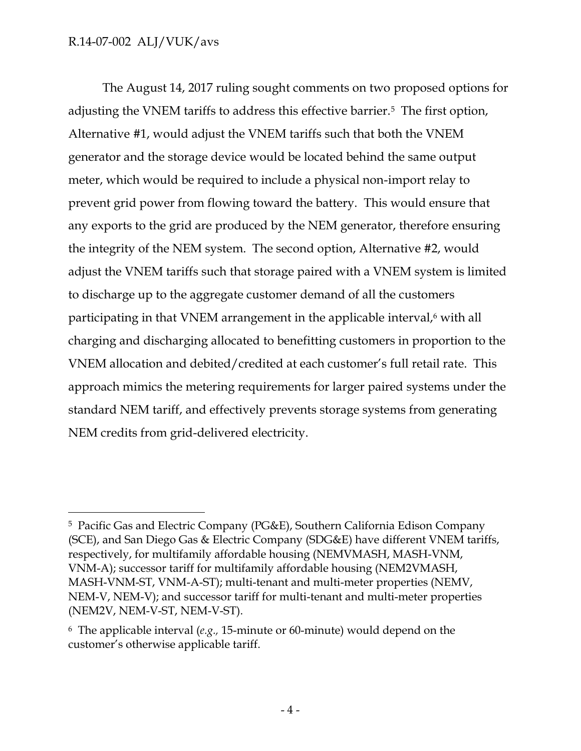$\overline{a}$ 

The August 14, 2017 ruling sought comments on two proposed options for adjusting the VNEM tariffs to address this effective barrier.5 The first option, Alternative #1, would adjust the VNEM tariffs such that both the VNEM generator and the storage device would be located behind the same output meter, which would be required to include a physical non-import relay to prevent grid power from flowing toward the battery. This would ensure that any exports to the grid are produced by the NEM generator, therefore ensuring the integrity of the NEM system. The second option, Alternative #2, would adjust the VNEM tariffs such that storage paired with a VNEM system is limited to discharge up to the aggregate customer demand of all the customers participating in that VNEM arrangement in the applicable interval,<sup>6</sup> with all charging and discharging allocated to benefitting customers in proportion to the VNEM allocation and debited/credited at each customer's full retail rate. This approach mimics the metering requirements for larger paired systems under the standard NEM tariff, and effectively prevents storage systems from generating NEM credits from grid-delivered electricity.

<sup>5</sup> Pacific Gas and Electric Company (PG&E), Southern California Edison Company (SCE), and San Diego Gas & Electric Company (SDG&E) have different VNEM tariffs, respectively, for multifamily affordable housing (NEMVMASH, MASH-VNM, VNM-A); successor tariff for multifamily affordable housing (NEM2VMASH, MASH-VNM-ST, VNM-A-ST); multi-tenant and multi-meter properties (NEMV, NEM-V, NEM-V); and successor tariff for multi-tenant and multi-meter properties (NEM2V, NEM-V-ST, NEM-V-ST).

<sup>6</sup> The applicable interval (*e.g.,* 15-minute or 60-minute) would depend on the customer's otherwise applicable tariff.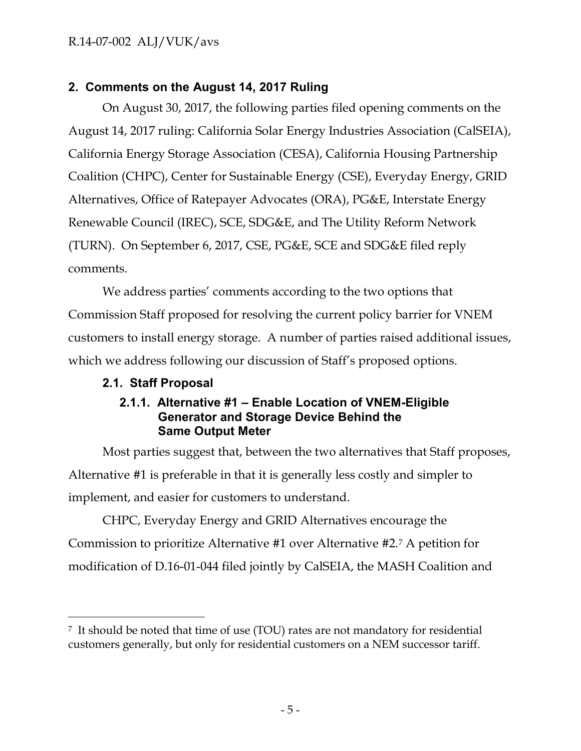## <span id="page-5-0"></span>**2. Comments on the August 14, 2017 Ruling**

On August 30, 2017, the following parties filed opening comments on the August 14, 2017 ruling: California Solar Energy Industries Association (CalSEIA), California Energy Storage Association (CESA), California Housing Partnership Coalition (CHPC), Center for Sustainable Energy (CSE), Everyday Energy, GRID Alternatives, Office of Ratepayer Advocates (ORA), PG&E, Interstate Energy Renewable Council (IREC), SCE, SDG&E, and The Utility Reform Network (TURN). On September 6, 2017, CSE, PG&E, SCE and SDG&E filed reply comments.

We address parties' comments according to the two options that Commission Staff proposed for resolving the current policy barrier for VNEM customers to install energy storage. A number of parties raised additional issues, which we address following our discussion of Staff's proposed options.

## <span id="page-5-2"></span><span id="page-5-1"></span>**2.1. Staff Proposal**

 $\overline{a}$ 

## **2.1.1. Alternative #1 – Enable Location of VNEM-Eligible Generator and Storage Device Behind the Same Output Meter**

Most parties suggest that, between the two alternatives that Staff proposes, Alternative #1 is preferable in that it is generally less costly and simpler to implement, and easier for customers to understand.

CHPC, Everyday Energy and GRID Alternatives encourage the Commission to prioritize Alternative #1 over Alternative #2.<sup>7</sup> A petition for modification of D.16-01-044 filed jointly by CalSEIA, the MASH Coalition and

<sup>7</sup> It should be noted that time of use (TOU) rates are not mandatory for residential customers generally, but only for residential customers on a NEM successor tariff.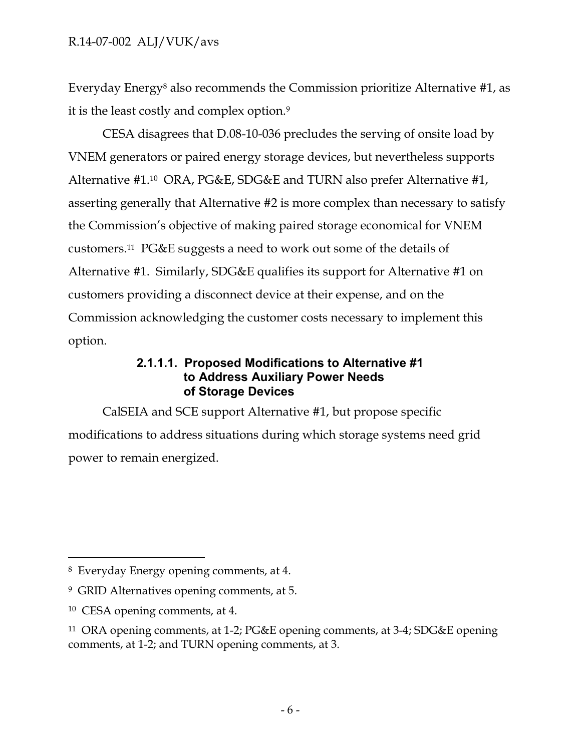Everyday Energy<sup>8</sup> also recommends the Commission prioritize Alternative #1, as it is the least costly and complex option.<sup>9</sup>

CESA disagrees that D.08-10-036 precludes the serving of onsite load by VNEM generators or paired energy storage devices, but nevertheless supports Alternative #1.10 ORA, PG&E, SDG&E and TURN also prefer Alternative #1, asserting generally that Alternative #2 is more complex than necessary to satisfy the Commission's objective of making paired storage economical for VNEM customers.11 PG&E suggests a need to work out some of the details of Alternative #1. Similarly, SDG&E qualifies its support for Alternative #1 on customers providing a disconnect device at their expense, and on the Commission acknowledging the customer costs necessary to implement this option.

## **2.1.1.1. Proposed Modifications to Alternative #1 to Address Auxiliary Power Needs of Storage Devices**

<span id="page-6-0"></span>CalSEIA and SCE support Alternative #1, but propose specific modifications to address situations during which storage systems need grid power to remain energized.

<sup>8</sup> Everyday Energy opening comments, at 4.

<sup>9</sup> GRID Alternatives opening comments, at 5.

<sup>10</sup> CESA opening comments, at 4.

<sup>11</sup> ORA opening comments, at 1-2; PG&E opening comments, at 3-4; SDG&E opening comments, at 1-2; and TURN opening comments, at 3.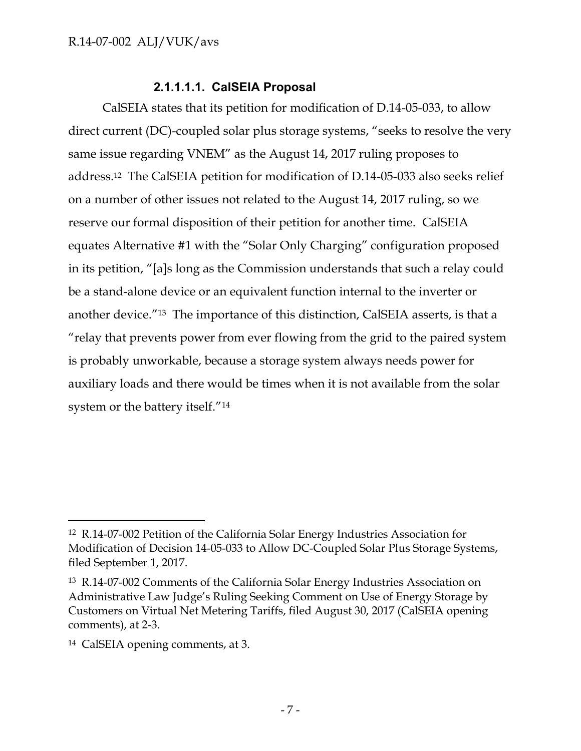## **2.1.1.1.1. CalSEIA Proposal**

CalSEIA states that its petition for modification of D.14-05-033, to allow direct current (DC)-coupled solar plus storage systems, "seeks to resolve the very same issue regarding VNEM" as the August 14, 2017 ruling proposes to address.12 The CalSEIA petition for modification of D.14-05-033 also seeks relief on a number of other issues not related to the August 14, 2017 ruling, so we reserve our formal disposition of their petition for another time. CalSEIA equates Alternative #1 with the "Solar Only Charging" configuration proposed in its petition, "[a]s long as the Commission understands that such a relay could be a stand-alone device or an equivalent function internal to the inverter or another device."13 The importance of this distinction, CalSEIA asserts, is that a "relay that prevents power from ever flowing from the grid to the paired system is probably unworkable, because a storage system always needs power for auxiliary loads and there would be times when it is not available from the solar system or the battery itself."<sup>14</sup>

<sup>12</sup> R.14-07-002 Petition of the California Solar Energy Industries Association for Modification of Decision 14-05-033 to Allow DC-Coupled Solar Plus Storage Systems, filed September 1, 2017.

<sup>13</sup> R.14-07-002 Comments of the California Solar Energy Industries Association on Administrative Law Judge's Ruling Seeking Comment on Use of Energy Storage by Customers on Virtual Net Metering Tariffs, filed August 30, 2017 (CalSEIA opening comments), at 2-3.

<sup>14</sup> CalSEIA opening comments, at 3.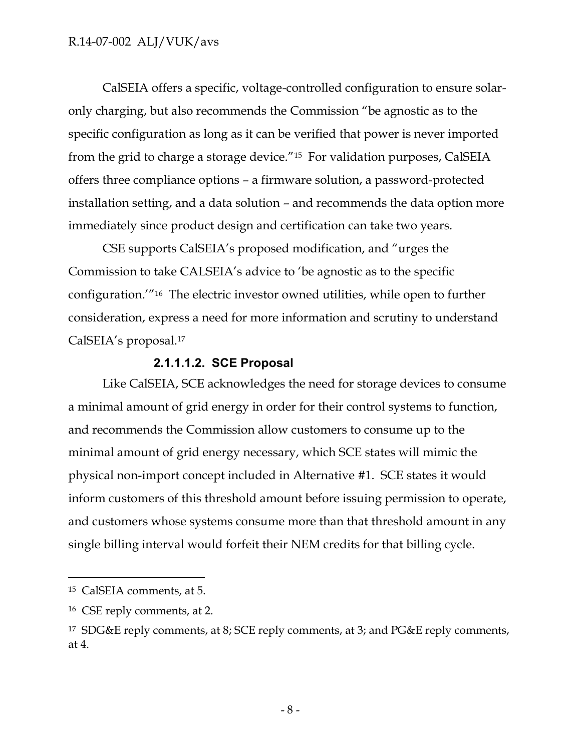CalSEIA offers a specific, voltage-controlled configuration to ensure solaronly charging, but also recommends the Commission "be agnostic as to the specific configuration as long as it can be verified that power is never imported from the grid to charge a storage device."15 For validation purposes, CalSEIA offers three compliance options – a firmware solution, a password-protected installation setting, and a data solution – and recommends the data option more immediately since product design and certification can take two years.

CSE supports CalSEIA's proposed modification, and "urges the Commission to take CALSEIA's advice to 'be agnostic as to the specific configuration.'"16 The electric investor owned utilities, while open to further consideration, express a need for more information and scrutiny to understand CalSEIA's proposal.<sup>17</sup>

## **2.1.1.1.2. SCE Proposal**

Like CalSEIA, SCE acknowledges the need for storage devices to consume a minimal amount of grid energy in order for their control systems to function, and recommends the Commission allow customers to consume up to the minimal amount of grid energy necessary, which SCE states will mimic the physical non-import concept included in Alternative #1. SCE states it would inform customers of this threshold amount before issuing permission to operate, and customers whose systems consume more than that threshold amount in any single billing interval would forfeit their NEM credits for that billing cycle.

<sup>15</sup> CalSEIA comments, at 5.

<sup>16</sup> CSE reply comments, at 2.

<sup>17</sup> SDG&E reply comments, at 8; SCE reply comments, at 3; and PG&E reply comments, at 4.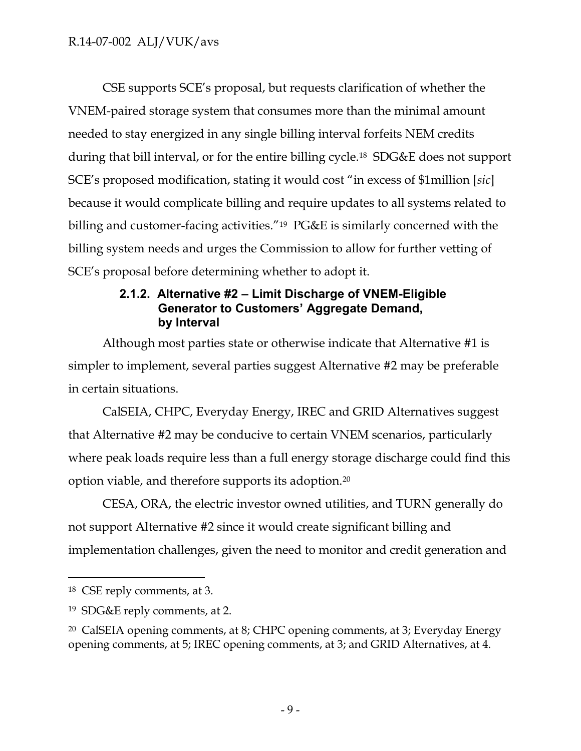CSE supports SCE's proposal, but requests clarification of whether the VNEM-paired storage system that consumes more than the minimal amount needed to stay energized in any single billing interval forfeits NEM credits during that bill interval, or for the entire billing cycle.18 SDG&E does not support SCE's proposed modification, stating it would cost "in excess of \$1million [*sic*] because it would complicate billing and require updates to all systems related to billing and customer-facing activities."19 PG&E is similarly concerned with the billing system needs and urges the Commission to allow for further vetting of SCE's proposal before determining whether to adopt it.

## **2.1.2. Alternative #2 – Limit Discharge of VNEM-Eligible Generator to Customers' Aggregate Demand, by Interval**

<span id="page-9-0"></span>Although most parties state or otherwise indicate that Alternative #1 is simpler to implement, several parties suggest Alternative #2 may be preferable in certain situations.

CalSEIA, CHPC, Everyday Energy, IREC and GRID Alternatives suggest that Alternative #2 may be conducive to certain VNEM scenarios, particularly where peak loads require less than a full energy storage discharge could find this option viable, and therefore supports its adoption.<sup>20</sup>

CESA, ORA, the electric investor owned utilities, and TURN generally do not support Alternative #2 since it would create significant billing and implementation challenges, given the need to monitor and credit generation and

<sup>18</sup> CSE reply comments, at 3.

<sup>19</sup> SDG&E reply comments, at 2.

<sup>20</sup> CalSEIA opening comments, at 8; CHPC opening comments, at 3; Everyday Energy opening comments, at 5; IREC opening comments, at 3; and GRID Alternatives, at 4.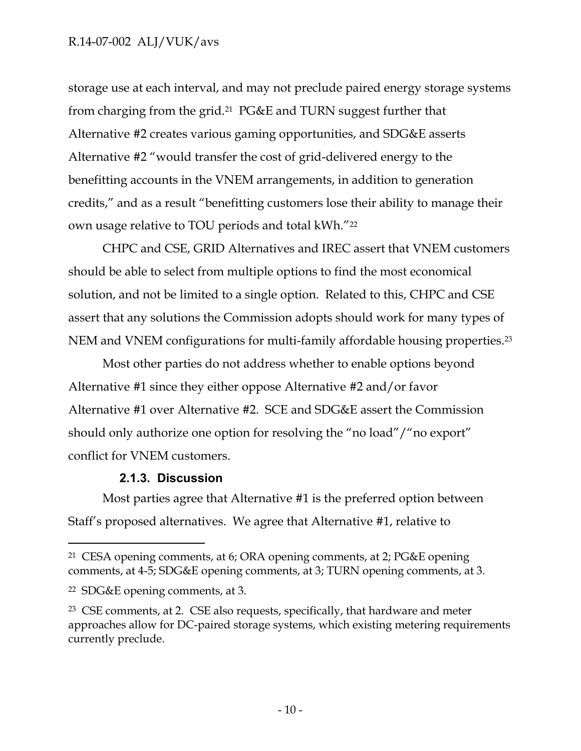storage use at each interval, and may not preclude paired energy storage systems from charging from the grid.21 PG&E and TURN suggest further that Alternative #2 creates various gaming opportunities, and SDG&E asserts Alternative #2 "would transfer the cost of grid-delivered energy to the benefitting accounts in the VNEM arrangements, in addition to generation credits," and as a result "benefitting customers lose their ability to manage their own usage relative to TOU periods and total kWh."<sup>22</sup>

CHPC and CSE, GRID Alternatives and IREC assert that VNEM customers should be able to select from multiple options to find the most economical solution, and not be limited to a single option. Related to this, CHPC and CSE assert that any solutions the Commission adopts should work for many types of NEM and VNEM configurations for multi-family affordable housing properties.<sup>23</sup>

Most other parties do not address whether to enable options beyond Alternative #1 since they either oppose Alternative #2 and/or favor Alternative #1 over Alternative #2. SCE and SDG&E assert the Commission should only authorize one option for resolving the "no load"/"no export" conflict for VNEM customers.

## **2.1.3. Discussion**

<span id="page-10-0"></span>Most parties agree that Alternative #1 is the preferred option between Staff's proposed alternatives. We agree that Alternative #1, relative to

<sup>21</sup> CESA opening comments, at 6; ORA opening comments, at 2; PG&E opening comments, at 4-5; SDG&E opening comments, at 3; TURN opening comments, at 3.

<sup>22</sup> SDG&E opening comments, at 3.

<sup>23</sup> CSE comments, at 2. CSE also requests, specifically, that hardware and meter approaches allow for DC-paired storage systems, which existing metering requirements currently preclude.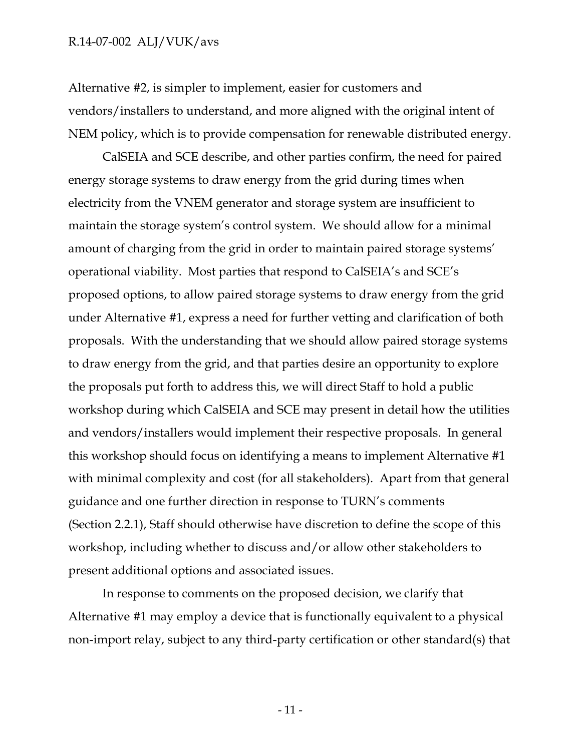Alternative #2, is simpler to implement, easier for customers and vendors/installers to understand, and more aligned with the original intent of NEM policy, which is to provide compensation for renewable distributed energy.

CalSEIA and SCE describe, and other parties confirm, the need for paired energy storage systems to draw energy from the grid during times when electricity from the VNEM generator and storage system are insufficient to maintain the storage system's control system. We should allow for a minimal amount of charging from the grid in order to maintain paired storage systems' operational viability. Most parties that respond to CalSEIA's and SCE's proposed options, to allow paired storage systems to draw energy from the grid under Alternative #1, express a need for further vetting and clarification of both proposals. With the understanding that we should allow paired storage systems to draw energy from the grid, and that parties desire an opportunity to explore the proposals put forth to address this, we will direct Staff to hold a public workshop during which CalSEIA and SCE may present in detail how the utilities and vendors/installers would implement their respective proposals. In general this workshop should focus on identifying a means to implement Alternative #1 with minimal complexity and cost (for all stakeholders). Apart from that general guidance and one further direction in response to TURN's comments (Section 2.2.1), Staff should otherwise have discretion to define the scope of this workshop, including whether to discuss and/or allow other stakeholders to present additional options and associated issues.

In response to comments on the proposed decision, we clarify that Alternative #1 may employ a device that is functionally equivalent to a physical non-import relay, subject to any third-party certification or other standard(s) that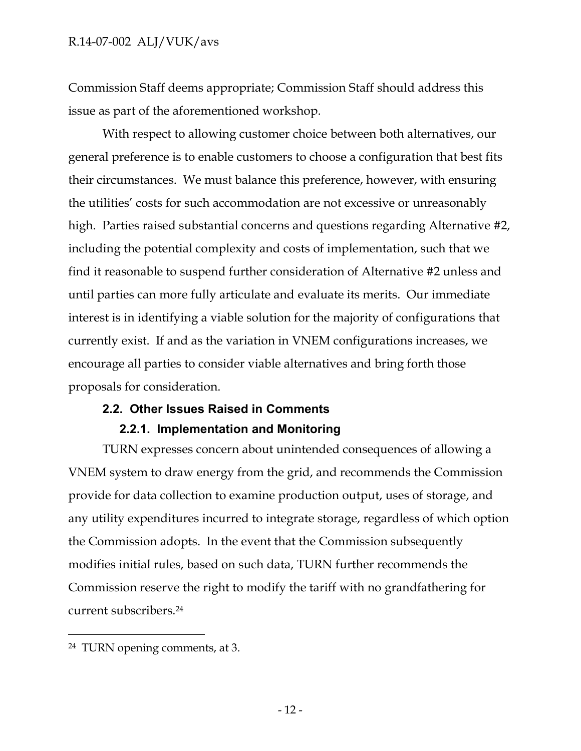Commission Staff deems appropriate; Commission Staff should address this issue as part of the aforementioned workshop.

With respect to allowing customer choice between both alternatives, our general preference is to enable customers to choose a configuration that best fits their circumstances. We must balance this preference, however, with ensuring the utilities' costs for such accommodation are not excessive or unreasonably high. Parties raised substantial concerns and questions regarding Alternative #2, including the potential complexity and costs of implementation, such that we find it reasonable to suspend further consideration of Alternative #2 unless and until parties can more fully articulate and evaluate its merits. Our immediate interest is in identifying a viable solution for the majority of configurations that currently exist. If and as the variation in VNEM configurations increases, we encourage all parties to consider viable alternatives and bring forth those proposals for consideration.

#### <span id="page-12-0"></span>**2.2. Other Issues Raised in Comments**

#### **2.2.1. Implementation and Monitoring**

<span id="page-12-1"></span>TURN expresses concern about unintended consequences of allowing a VNEM system to draw energy from the grid, and recommends the Commission provide for data collection to examine production output, uses of storage, and any utility expenditures incurred to integrate storage, regardless of which option the Commission adopts. In the event that the Commission subsequently modifies initial rules, based on such data, TURN further recommends the Commission reserve the right to modify the tariff with no grandfathering for current subscribers.<sup>24</sup>

<sup>24</sup> TURN opening comments, at 3.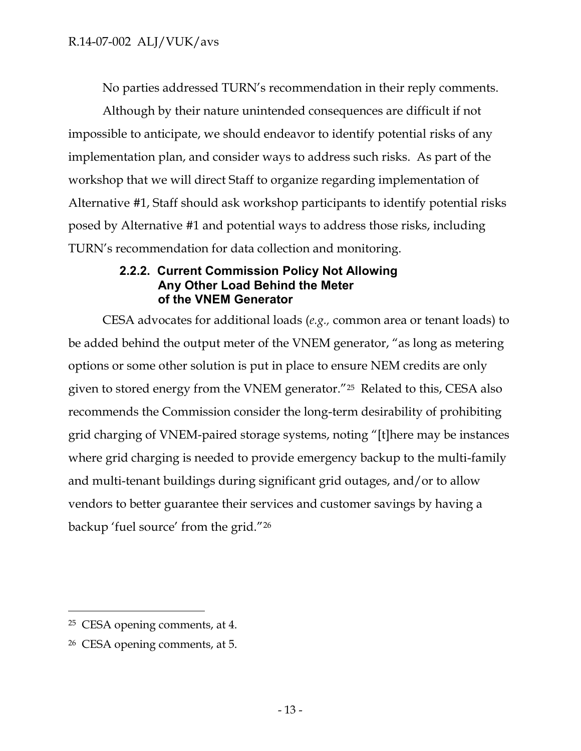No parties addressed TURN's recommendation in their reply comments.

Although by their nature unintended consequences are difficult if not impossible to anticipate, we should endeavor to identify potential risks of any implementation plan, and consider ways to address such risks. As part of the workshop that we will direct Staff to organize regarding implementation of Alternative #1, Staff should ask workshop participants to identify potential risks posed by Alternative #1 and potential ways to address those risks, including TURN's recommendation for data collection and monitoring.

## **2.2.2. Current Commission Policy Not Allowing Any Other Load Behind the Meter of the VNEM Generator**

<span id="page-13-0"></span>CESA advocates for additional loads (*e.g.,* common area or tenant loads) to be added behind the output meter of the VNEM generator, "as long as metering options or some other solution is put in place to ensure NEM credits are only given to stored energy from the VNEM generator."25 Related to this, CESA also recommends the Commission consider the long-term desirability of prohibiting grid charging of VNEM-paired storage systems, noting "[t]here may be instances where grid charging is needed to provide emergency backup to the multi-family and multi-tenant buildings during significant grid outages, and/or to allow vendors to better guarantee their services and customer savings by having a backup 'fuel source' from the grid."<sup>26</sup>

<sup>25</sup> CESA opening comments, at 4.

<sup>26</sup> CESA opening comments, at 5.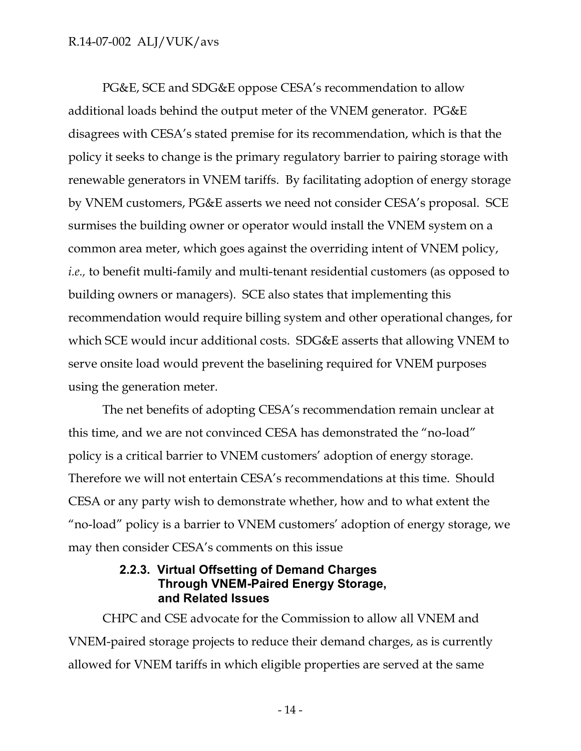PG&E, SCE and SDG&E oppose CESA's recommendation to allow additional loads behind the output meter of the VNEM generator. PG&E disagrees with CESA's stated premise for its recommendation, which is that the policy it seeks to change is the primary regulatory barrier to pairing storage with renewable generators in VNEM tariffs. By facilitating adoption of energy storage by VNEM customers, PG&E asserts we need not consider CESA's proposal. SCE surmises the building owner or operator would install the VNEM system on a common area meter, which goes against the overriding intent of VNEM policy, *i.e.,* to benefit multi-family and multi-tenant residential customers (as opposed to building owners or managers). SCE also states that implementing this recommendation would require billing system and other operational changes, for which SCE would incur additional costs. SDG&E asserts that allowing VNEM to serve onsite load would prevent the baselining required for VNEM purposes using the generation meter.

The net benefits of adopting CESA's recommendation remain unclear at this time, and we are not convinced CESA has demonstrated the "no-load" policy is a critical barrier to VNEM customers' adoption of energy storage. Therefore we will not entertain CESA's recommendations at this time. Should CESA or any party wish to demonstrate whether, how and to what extent the "no-load" policy is a barrier to VNEM customers' adoption of energy storage, we may then consider CESA's comments on this issue

## **2.2.3. Virtual Offsetting of Demand Charges Through VNEM-Paired Energy Storage, and Related Issues**

<span id="page-14-0"></span>CHPC and CSE advocate for the Commission to allow all VNEM and VNEM-paired storage projects to reduce their demand charges, as is currently allowed for VNEM tariffs in which eligible properties are served at the same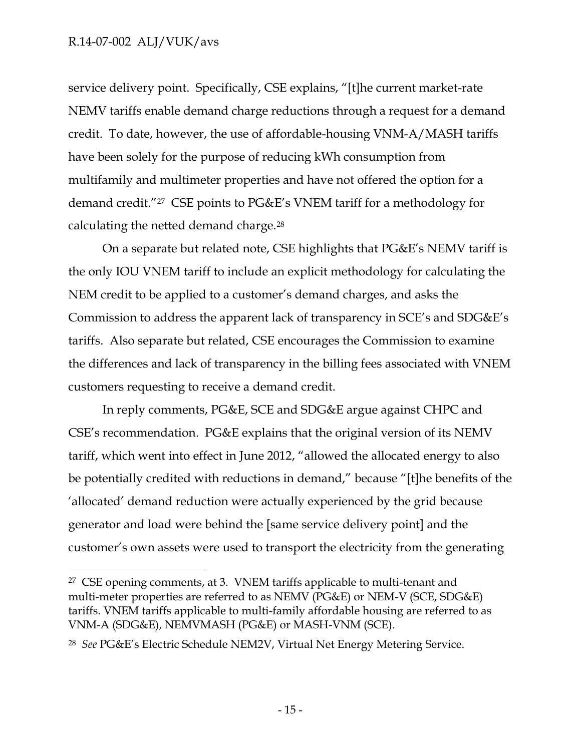$\overline{a}$ 

service delivery point. Specifically, CSE explains, "[t]he current market-rate NEMV tariffs enable demand charge reductions through a request for a demand credit. To date, however, the use of affordable-housing VNM-A/MASH tariffs have been solely for the purpose of reducing kWh consumption from multifamily and multimeter properties and have not offered the option for a demand credit."<sup>27</sup> CSE points to PG&E's VNEM tariff for a methodology for calculating the netted demand charge.<sup>28</sup>

On a separate but related note, CSE highlights that PG&E's NEMV tariff is the only IOU VNEM tariff to include an explicit methodology for calculating the NEM credit to be applied to a customer's demand charges, and asks the Commission to address the apparent lack of transparency in SCE's and SDG&E's tariffs. Also separate but related, CSE encourages the Commission to examine the differences and lack of transparency in the billing fees associated with VNEM customers requesting to receive a demand credit.

In reply comments, PG&E, SCE and SDG&E argue against CHPC and CSE's recommendation. PG&E explains that the original version of its NEMV tariff, which went into effect in June 2012, "allowed the allocated energy to also be potentially credited with reductions in demand," because "[t]he benefits of the 'allocated' demand reduction were actually experienced by the grid because generator and load were behind the [same service delivery point] and the customer's own assets were used to transport the electricity from the generating

<sup>27</sup> CSE opening comments, at 3. VNEM tariffs applicable to multi-tenant and multi-meter properties are referred to as NEMV (PG&E) or NEM-V (SCE, SDG&E) tariffs. VNEM tariffs applicable to multi-family affordable housing are referred to as VNM-A (SDG&E), NEMVMASH (PG&E) or MASH-VNM (SCE).

<sup>28</sup> *See* PG&E's Electric Schedule NEM2V, Virtual Net Energy Metering Service.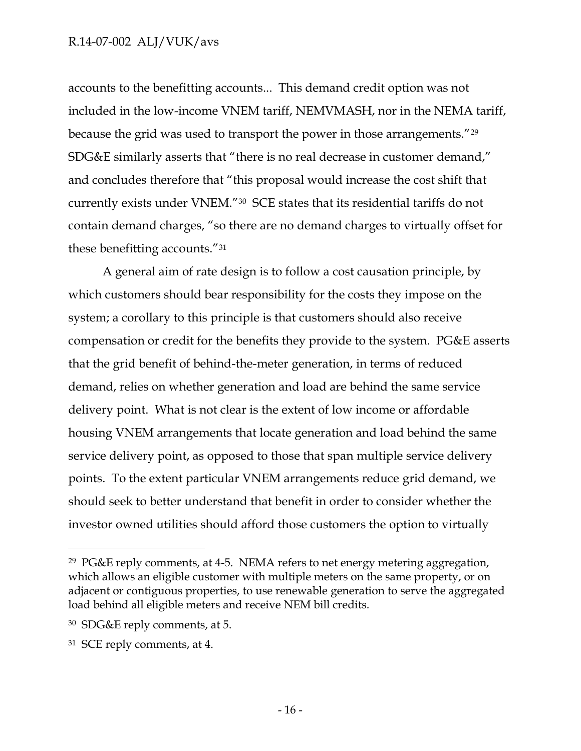accounts to the benefitting accounts... This demand credit option was not included in the low-income VNEM tariff, NEMVMASH, nor in the NEMA tariff, because the grid was used to transport the power in those arrangements."<sup>29</sup> SDG&E similarly asserts that "there is no real decrease in customer demand," and concludes therefore that "this proposal would increase the cost shift that currently exists under VNEM."30 SCE states that its residential tariffs do not contain demand charges, "so there are no demand charges to virtually offset for these benefitting accounts."<sup>31</sup>

A general aim of rate design is to follow a cost causation principle, by which customers should bear responsibility for the costs they impose on the system; a corollary to this principle is that customers should also receive compensation or credit for the benefits they provide to the system. PG&E asserts that the grid benefit of behind-the-meter generation, in terms of reduced demand, relies on whether generation and load are behind the same service delivery point. What is not clear is the extent of low income or affordable housing VNEM arrangements that locate generation and load behind the same service delivery point, as opposed to those that span multiple service delivery points. To the extent particular VNEM arrangements reduce grid demand, we should seek to better understand that benefit in order to consider whether the investor owned utilities should afford those customers the option to virtually

<sup>29</sup> PG&E reply comments, at 4-5. NEMA refers to net energy metering aggregation, which allows an eligible customer with multiple meters on the same property, or on adjacent or contiguous properties, to use renewable generation to serve the aggregated load behind all eligible meters and receive NEM bill credits.

<sup>30</sup> SDG&E reply comments, at 5.

<sup>31</sup> SCE reply comments, at 4.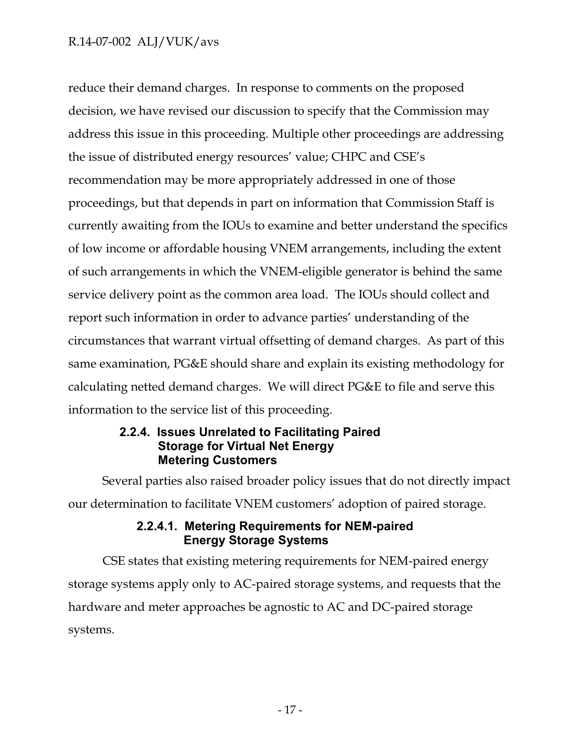reduce their demand charges. In response to comments on the proposed decision, we have revised our discussion to specify that the Commission may address this issue in this proceeding. Multiple other proceedings are addressing the issue of distributed energy resources' value; CHPC and CSE's recommendation may be more appropriately addressed in one of those proceedings, but that depends in part on information that Commission Staff is currently awaiting from the IOUs to examine and better understand the specifics of low income or affordable housing VNEM arrangements, including the extent of such arrangements in which the VNEM-eligible generator is behind the same service delivery point as the common area load. The IOUs should collect and report such information in order to advance parties' understanding of the circumstances that warrant virtual offsetting of demand charges. As part of this same examination, PG&E should share and explain its existing methodology for calculating netted demand charges. We will direct PG&E to file and serve this information to the service list of this proceeding.

## **2.2.4. Issues Unrelated to Facilitating Paired Storage for Virtual Net Energy Metering Customers**

<span id="page-17-0"></span>Several parties also raised broader policy issues that do not directly impact our determination to facilitate VNEM customers' adoption of paired storage.

## **2.2.4.1. Metering Requirements for NEM-paired Energy Storage Systems**

<span id="page-17-1"></span>CSE states that existing metering requirements for NEM-paired energy storage systems apply only to AC-paired storage systems, and requests that the hardware and meter approaches be agnostic to AC and DC-paired storage systems.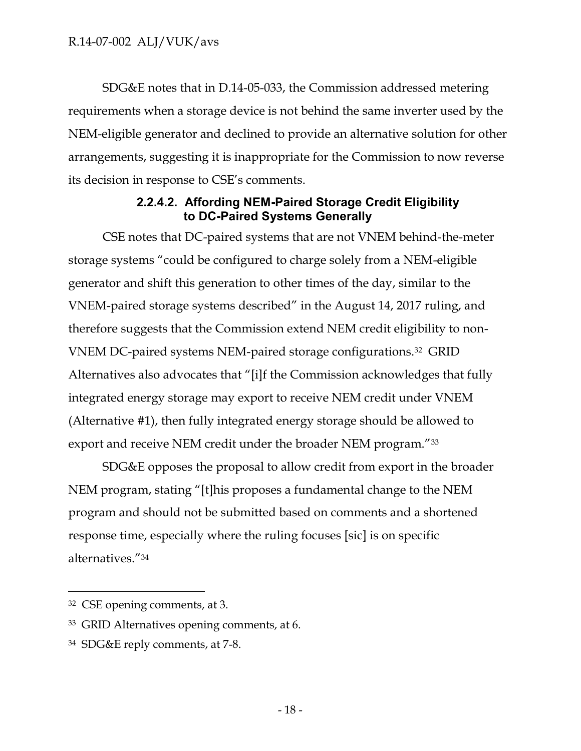SDG&E notes that in D.14-05-033, the Commission addressed metering requirements when a storage device is not behind the same inverter used by the NEM-eligible generator and declined to provide an alternative solution for other arrangements, suggesting it is inappropriate for the Commission to now reverse its decision in response to CSE's comments.

## **2.2.4.2. Affording NEM-Paired Storage Credit Eligibility to DC-Paired Systems Generally**

<span id="page-18-0"></span>CSE notes that DC-paired systems that are not VNEM behind-the-meter storage systems "could be configured to charge solely from a NEM-eligible generator and shift this generation to other times of the day, similar to the VNEM-paired storage systems described" in the August 14, 2017 ruling, and therefore suggests that the Commission extend NEM credit eligibility to non-VNEM DC-paired systems NEM-paired storage configurations.32 GRID Alternatives also advocates that "[i]f the Commission acknowledges that fully integrated energy storage may export to receive NEM credit under VNEM (Alternative #1), then fully integrated energy storage should be allowed to export and receive NEM credit under the broader NEM program."33

SDG&E opposes the proposal to allow credit from export in the broader NEM program, stating "[t]his proposes a fundamental change to the NEM program and should not be submitted based on comments and a shortened response time, especially where the ruling focuses [sic] is on specific alternatives."<sup>34</sup>

<sup>32</sup> CSE opening comments, at 3.

<sup>33</sup> GRID Alternatives opening comments, at 6.

<sup>34</sup> SDG&E reply comments, at 7-8.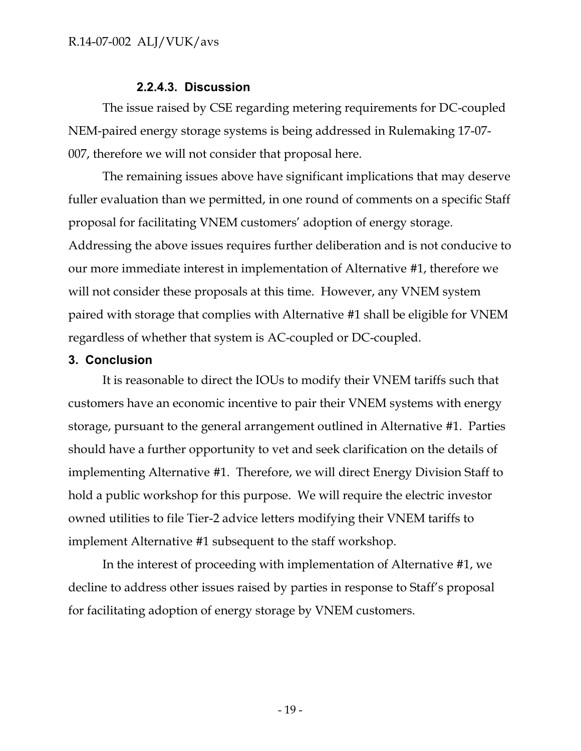#### **2.2.4.3. Discussion**

<span id="page-19-0"></span>The issue raised by CSE regarding metering requirements for DC-coupled NEM-paired energy storage systems is being addressed in Rulemaking 17-07- 007, therefore we will not consider that proposal here.

The remaining issues above have significant implications that may deserve fuller evaluation than we permitted, in one round of comments on a specific Staff proposal for facilitating VNEM customers' adoption of energy storage. Addressing the above issues requires further deliberation and is not conducive to our more immediate interest in implementation of Alternative #1, therefore we will not consider these proposals at this time. However, any VNEM system paired with storage that complies with Alternative #1 shall be eligible for VNEM regardless of whether that system is AC-coupled or DC-coupled.

#### <span id="page-19-1"></span>**3. Conclusion**

It is reasonable to direct the IOUs to modify their VNEM tariffs such that customers have an economic incentive to pair their VNEM systems with energy storage, pursuant to the general arrangement outlined in Alternative #1. Parties should have a further opportunity to vet and seek clarification on the details of implementing Alternative #1. Therefore, we will direct Energy Division Staff to hold a public workshop for this purpose. We will require the electric investor owned utilities to file Tier-2 advice letters modifying their VNEM tariffs to implement Alternative #1 subsequent to the staff workshop.

In the interest of proceeding with implementation of Alternative #1, we decline to address other issues raised by parties in response to Staff's proposal for facilitating adoption of energy storage by VNEM customers.

- 19 -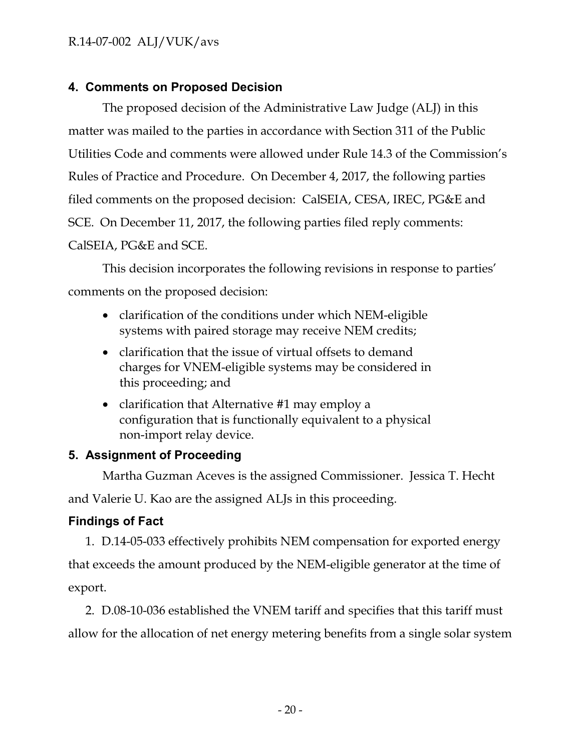## <span id="page-20-0"></span>**4. Comments on Proposed Decision**

The proposed decision of the Administrative Law Judge (ALJ) in this matter was mailed to the parties in accordance with Section 311 of the Public Utilities Code and comments were allowed under Rule 14.3 of the Commission's Rules of Practice and Procedure. On December 4, 2017, the following parties filed comments on the proposed decision: CalSEIA, CESA, IREC, PG&E and SCE. On December 11, 2017, the following parties filed reply comments: CalSEIA, PG&E and SCE.

This decision incorporates the following revisions in response to parties' comments on the proposed decision:

- clarification of the conditions under which NEM-eligible systems with paired storage may receive NEM credits;
- clarification that the issue of virtual offsets to demand charges for VNEM-eligible systems may be considered in this proceeding; and
- clarification that Alternative #1 may employ a configuration that is functionally equivalent to a physical non-import relay device.

## <span id="page-20-1"></span>**5. Assignment of Proceeding**

Martha Guzman Aceves is the assigned Commissioner. Jessica T. Hecht

and Valerie U. Kao are the assigned ALJs in this proceeding.

## <span id="page-20-2"></span>**Findings of Fact**

1. D.14-05-033 effectively prohibits NEM compensation for exported energy that exceeds the amount produced by the NEM-eligible generator at the time of export.

2. D.08-10-036 established the VNEM tariff and specifies that this tariff must allow for the allocation of net energy metering benefits from a single solar system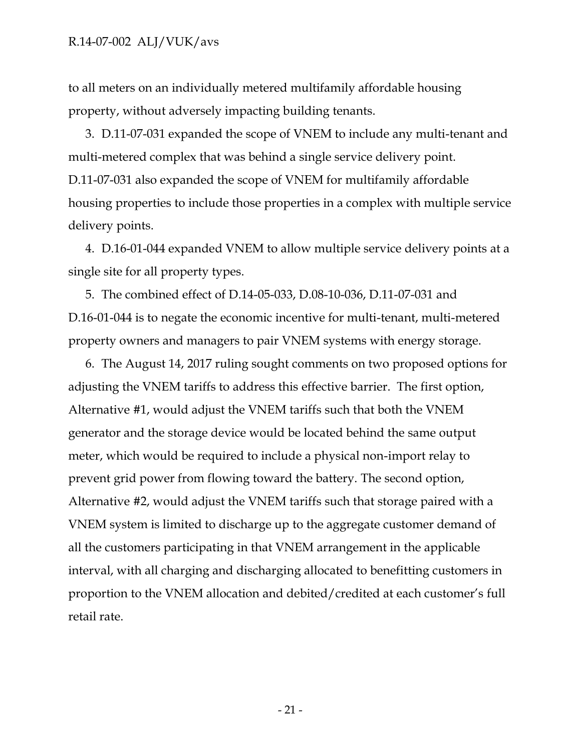to all meters on an individually metered multifamily affordable housing property, without adversely impacting building tenants.

3. D.11-07-031 expanded the scope of VNEM to include any multi-tenant and multi-metered complex that was behind a single service delivery point. D.11-07-031 also expanded the scope of VNEM for multifamily affordable housing properties to include those properties in a complex with multiple service delivery points.

4. D.16-01-044 expanded VNEM to allow multiple service delivery points at a single site for all property types.

5. The combined effect of D.14-05-033, D.08-10-036, D.11-07-031 and D.16-01-044 is to negate the economic incentive for multi-tenant, multi-metered property owners and managers to pair VNEM systems with energy storage.

6. The August 14, 2017 ruling sought comments on two proposed options for adjusting the VNEM tariffs to address this effective barrier. The first option, Alternative #1, would adjust the VNEM tariffs such that both the VNEM generator and the storage device would be located behind the same output meter, which would be required to include a physical non-import relay to prevent grid power from flowing toward the battery. The second option, Alternative #2, would adjust the VNEM tariffs such that storage paired with a VNEM system is limited to discharge up to the aggregate customer demand of all the customers participating in that VNEM arrangement in the applicable interval, with all charging and discharging allocated to benefitting customers in proportion to the VNEM allocation and debited/credited at each customer's full retail rate.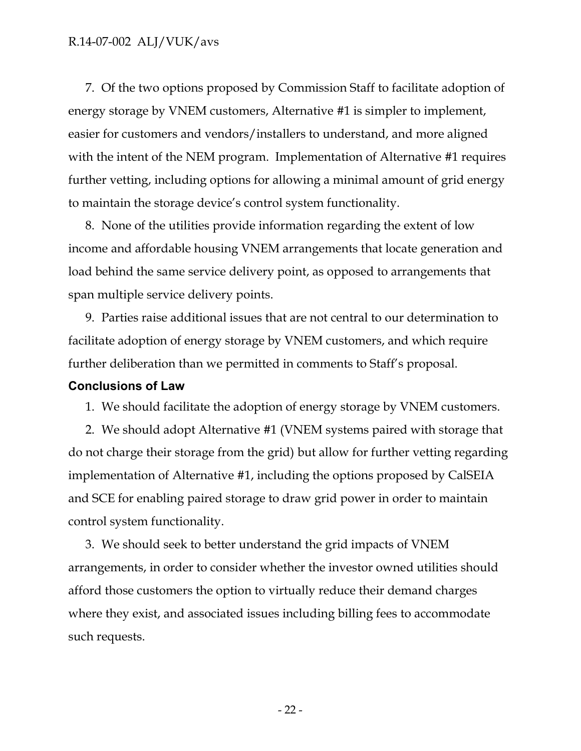7. Of the two options proposed by Commission Staff to facilitate adoption of energy storage by VNEM customers, Alternative #1 is simpler to implement, easier for customers and vendors/installers to understand, and more aligned with the intent of the NEM program. Implementation of Alternative #1 requires further vetting, including options for allowing a minimal amount of grid energy to maintain the storage device's control system functionality.

8. None of the utilities provide information regarding the extent of low income and affordable housing VNEM arrangements that locate generation and load behind the same service delivery point, as opposed to arrangements that span multiple service delivery points.

9. Parties raise additional issues that are not central to our determination to facilitate adoption of energy storage by VNEM customers, and which require further deliberation than we permitted in comments to Staff's proposal.

#### <span id="page-22-0"></span>**Conclusions of Law**

1. We should facilitate the adoption of energy storage by VNEM customers.

2. We should adopt Alternative #1 (VNEM systems paired with storage that do not charge their storage from the grid) but allow for further vetting regarding implementation of Alternative #1, including the options proposed by CalSEIA and SCE for enabling paired storage to draw grid power in order to maintain control system functionality.

3. We should seek to better understand the grid impacts of VNEM arrangements, in order to consider whether the investor owned utilities should afford those customers the option to virtually reduce their demand charges where they exist, and associated issues including billing fees to accommodate such requests.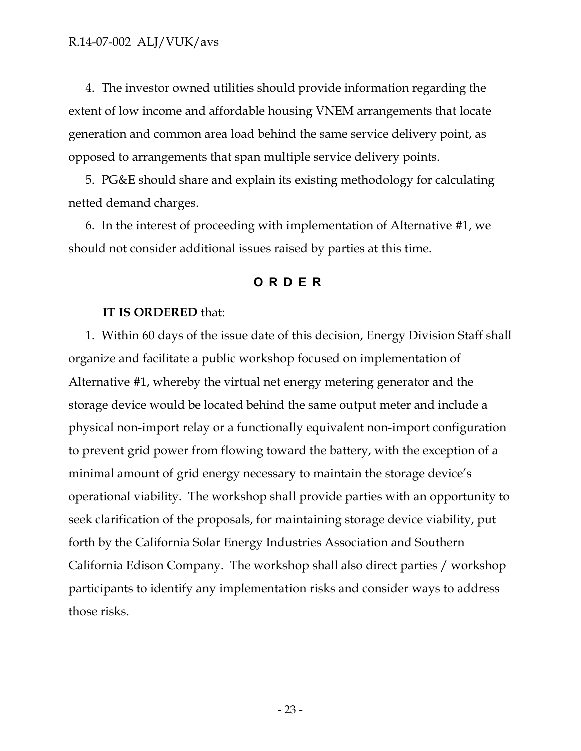4. The investor owned utilities should provide information regarding the extent of low income and affordable housing VNEM arrangements that locate generation and common area load behind the same service delivery point, as opposed to arrangements that span multiple service delivery points.

5. PG&E should share and explain its existing methodology for calculating netted demand charges.

<span id="page-23-0"></span>6. In the interest of proceeding with implementation of Alternative #1, we should not consider additional issues raised by parties at this time.

#### **ORDER**

#### **IT IS ORDERED** that:

1. Within 60 days of the issue date of this decision, Energy Division Staff shall organize and facilitate a public workshop focused on implementation of Alternative #1, whereby the virtual net energy metering generator and the storage device would be located behind the same output meter and include a physical non-import relay or a functionally equivalent non-import configuration to prevent grid power from flowing toward the battery, with the exception of a minimal amount of grid energy necessary to maintain the storage device's operational viability. The workshop shall provide parties with an opportunity to seek clarification of the proposals, for maintaining storage device viability, put forth by the California Solar Energy Industries Association and Southern California Edison Company. The workshop shall also direct parties / workshop participants to identify any implementation risks and consider ways to address those risks.